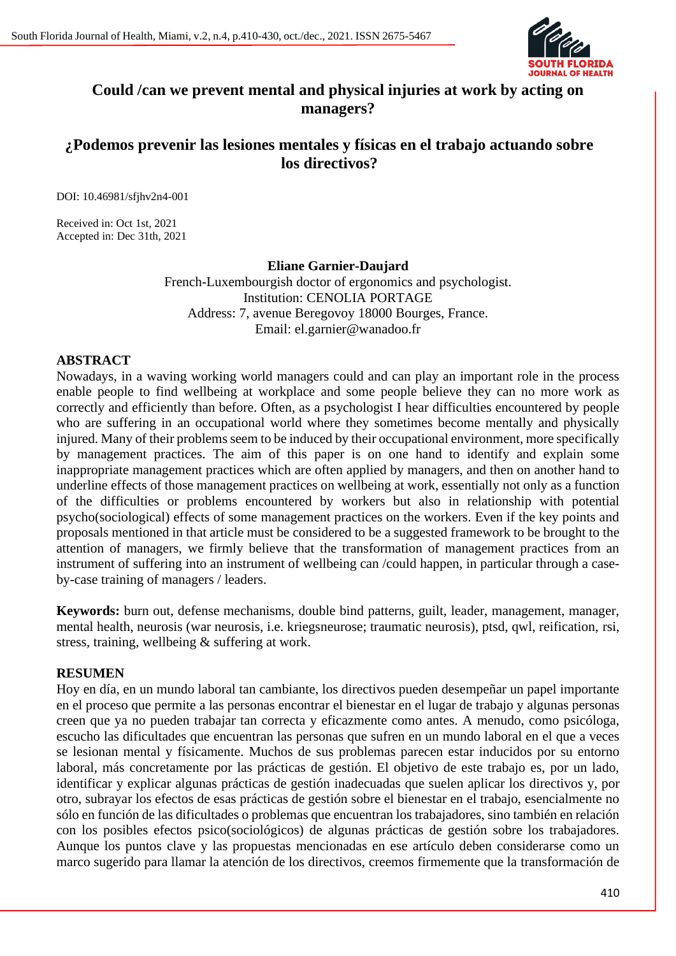

# **Could /can we prevent mental and physical injuries at work by acting on managers?**

# **¿Podemos prevenir las lesiones mentales y físicas en el trabajo actuando sobre los directivos?**

DOI: 10.46981/sfjhv2n4-001

Received in: Oct 1st, 2021 Accepted in: Dec 31th, 2021

#### **Eliane Garnier-Daujard**

French-Luxembourgish doctor of ergonomics and psychologist. Institution: CENOLIA PORTAGE Address: 7, avenue Beregovoy 18000 Bourges, France. Email: el.garnier@wanadoo.fr

# **ABSTRACT**

Nowadays, in a waving working world managers could and can play an important role in the process enable people to find wellbeing at workplace and some people believe they can no more work as correctly and efficiently than before. Often, as a psychologist I hear difficulties encountered by people who are suffering in an occupational world where they sometimes become mentally and physically injured. Many of their problems seem to be induced by their occupational environment, more specifically by management practices. The aim of this paper is on one hand to identify and explain some inappropriate management practices which are often applied by managers, and then on another hand to underline effects of those management practices on wellbeing at work, essentially not only as a function of the difficulties or problems encountered by workers but also in relationship with potential psycho(sociological) effects of some management practices on the workers. Even if the key points and proposals mentioned in that article must be considered to be a suggested framework to be brought to the attention of managers, we firmly believe that the transformation of management practices from an instrument of suffering into an instrument of wellbeing can /could happen, in particular through a caseby-case training of managers / leaders.

**Keywords:** burn out, defense mechanisms, double bind patterns, guilt, leader, management, manager, mental health, neurosis (war neurosis, i.e. kriegsneurose; traumatic neurosis), ptsd, qwl, reification, rsi, stress, training, wellbeing & suffering at work.

#### **RESUMEN**

Hoy en día, en un mundo laboral tan cambiante, los directivos pueden desempeñar un papel importante en el proceso que permite a las personas encontrar el bienestar en el lugar de trabajo y algunas personas creen que ya no pueden trabajar tan correcta y eficazmente como antes. A menudo, como psicóloga, escucho las dificultades que encuentran las personas que sufren en un mundo laboral en el que a veces se lesionan mental y físicamente. Muchos de sus problemas parecen estar inducidos por su entorno laboral, más concretamente por las prácticas de gestión. El objetivo de este trabajo es, por un lado, identificar y explicar algunas prácticas de gestión inadecuadas que suelen aplicar los directivos y, por otro, subrayar los efectos de esas prácticas de gestión sobre el bienestar en el trabajo, esencialmente no sólo en función de las dificultades o problemas que encuentran los trabajadores, sino también en relación con los posibles efectos psico(sociológicos) de algunas prácticas de gestión sobre los trabajadores. Aunque los puntos clave y las propuestas mencionadas en ese artículo deben considerarse como un marco sugerido para llamar la atención de los directivos, creemos firmemente que la transformación de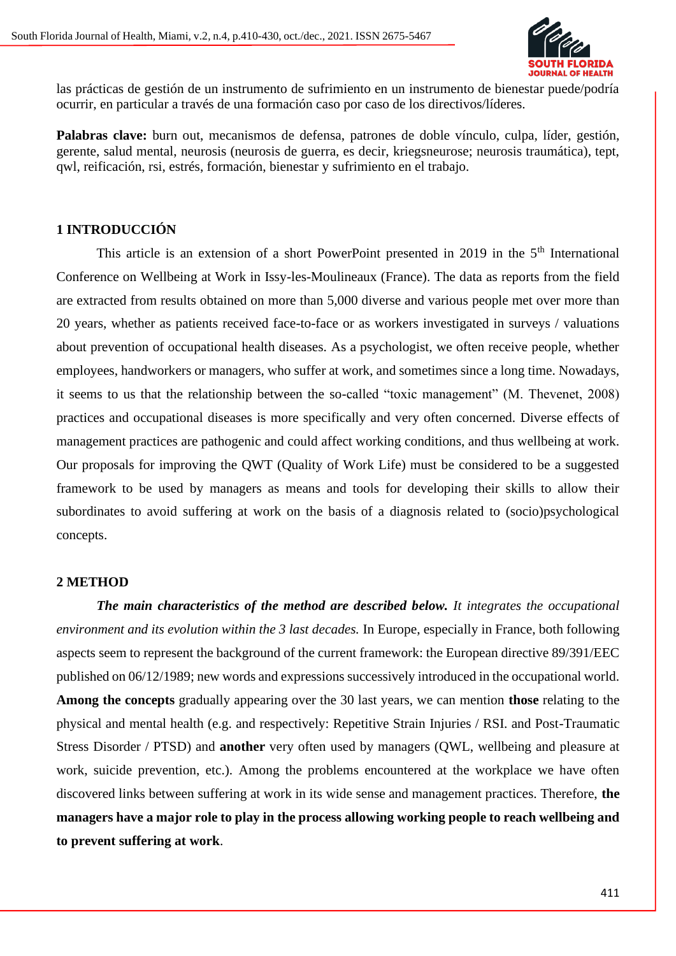

las prácticas de gestión de un instrumento de sufrimiento en un instrumento de bienestar puede/podría ocurrir, en particular a través de una formación caso por caso de los directivos/líderes.

**Palabras clave:** burn out, mecanismos de defensa, patrones de doble vínculo, culpa, líder, gestión, gerente, salud mental, neurosis (neurosis de guerra, es decir, kriegsneurose; neurosis traumática), tept, qwl, reificación, rsi, estrés, formación, bienestar y sufrimiento en el trabajo.

# **1 INTRODUCCIÓN**

This article is an extension of a short PowerPoint presented in 2019 in the  $5<sup>th</sup>$  International Conference on Wellbeing at Work in Issy-les-Moulineaux (France). The data as reports from the field are extracted from results obtained on more than 5,000 diverse and various people met over more than 20 years, whether as patients received face-to-face or as workers investigated in surveys / valuations about prevention of occupational health diseases. As a psychologist, we often receive people, whether employees, handworkers or managers, who suffer at work, and sometimes since a long time. Nowadays, it seems to us that the relationship between the so-called "toxic management" (M. Thevenet, 2008) practices and occupational diseases is more specifically and very often concerned. Diverse effects of management practices are pathogenic and could affect working conditions, and thus wellbeing at work. Our proposals for improving the QWT (Quality of Work Life) must be considered to be a suggested framework to be used by managers as means and tools for developing their skills to allow their subordinates to avoid suffering at work on the basis of a diagnosis related to (socio)psychological concepts.

#### **2 METHOD**

*The main characteristics of the method are described below. It integrates the occupational environment and its evolution within the 3 last decades.* In Europe, especially in France, both following aspects seem to represent the background of the current framework: the European directive 89/391/EEC published on 06/12/1989; new words and expressions successively introduced in the occupational world. **Among the concepts** gradually appearing over the 30 last years, we can mention **those** relating to the physical and mental health (e.g. and respectively: Repetitive Strain Injuries / RSI. and Post-Traumatic Stress Disorder / PTSD) and **another** very often used by managers (QWL, wellbeing and pleasure at work, suicide prevention, etc.). Among the problems encountered at the workplace we have often discovered links between suffering at work in its wide sense and management practices. Therefore, **the managers have a major role to play in the process allowing working people to reach wellbeing and to prevent suffering at work**.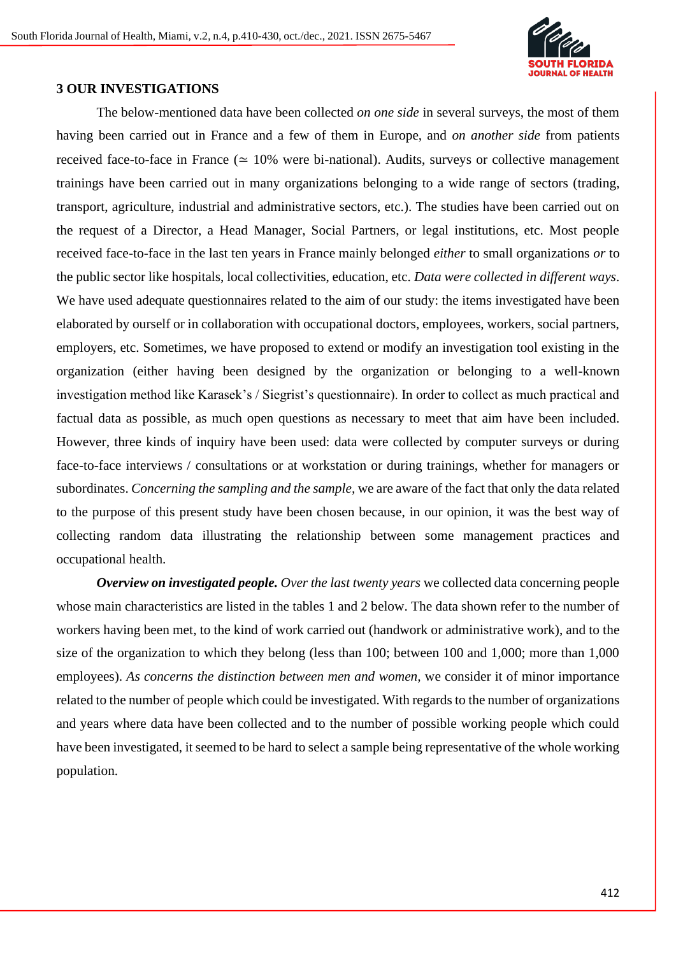

#### **3 OUR INVESTIGATIONS**

The below-mentioned data have been collected *on one side* in several surveys, the most of them having been carried out in France and a few of them in Europe, and *on another side* from patients received face-to-face in France ( $\simeq$  10% were bi-national). Audits, surveys or collective management trainings have been carried out in many organizations belonging to a wide range of sectors (trading, transport, agriculture, industrial and administrative sectors, etc.). The studies have been carried out on the request of a Director, a Head Manager, Social Partners, or legal institutions, etc. Most people received face-to-face in the last ten years in France mainly belonged *either* to small organizations *or* to the public sector like hospitals, local collectivities, education, etc. *Data were collected in different ways*. We have used adequate questionnaires related to the aim of our study: the items investigated have been elaborated by ourself or in collaboration with occupational doctors, employees, workers, social partners, employers, etc. Sometimes, we have proposed to extend or modify an investigation tool existing in the organization (either having been designed by the organization or belonging to a well-known investigation method like Karasek's / Siegrist's questionnaire). In order to collect as much practical and factual data as possible, as much open questions as necessary to meet that aim have been included. However, three kinds of inquiry have been used: data were collected by computer surveys or during face-to-face interviews / consultations or at workstation or during trainings, whether for managers or subordinates. *Concerning the sampling and the sample,* we are aware of the fact that only the data related to the purpose of this present study have been chosen because, in our opinion, it was the best way of collecting random data illustrating the relationship between some management practices and occupational health.

*Overview on investigated people. Over the last twenty years* we collected data concerning people whose main characteristics are listed in the tables 1 and 2 below. The data shown refer to the number of workers having been met, to the kind of work carried out (handwork or administrative work), and to the size of the organization to which they belong (less than 100; between 100 and 1,000; more than 1,000 employees). *As concerns the distinction between men and women,* we consider it of minor importance related to the number of people which could be investigated. With regards to the number of organizations and years where data have been collected and to the number of possible working people which could have been investigated, it seemed to be hard to select a sample being representative of the whole working population.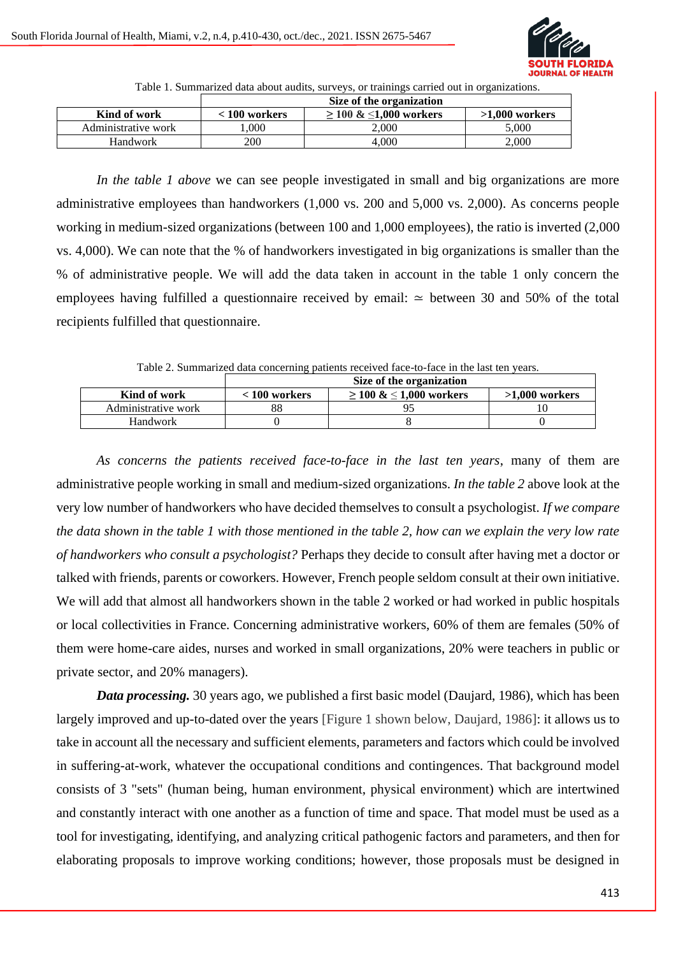

Table 1. Summarized data about audits, surveys, or trainings carried out in organizations.

|                     | Size of the organization |                             |                  |
|---------------------|--------------------------|-----------------------------|------------------|
| Kind of work        | $< 100$ workers          | $\geq 100 \& 1,000$ workers | $>1.000$ workers |
| Administrative work | .000                     | 2.000                       | 5.000            |
| <b>Handwork</b>     | 200                      | 4.000                       | 2.000            |

*In the table 1 above* we can see people investigated in small and big organizations are more administrative employees than handworkers (1,000 vs. 200 and 5,000 vs. 2,000). As concerns people working in medium-sized organizations (between 100 and 1,000 employees), the ratio is inverted (2,000 vs. 4,000). We can note that the % of handworkers investigated in big organizations is smaller than the % of administrative people. We will add the data taken in account in the table 1 only concern the employees having fulfilled a questionnaire received by email: ≃ between 30 and 50% of the total recipients fulfilled that questionnaire.

Table 2. Summarized data concerning patients received face-to-face in the last ten years.

| Size of the organization |                             |                  |
|--------------------------|-----------------------------|------------------|
| $< 100$ workers          | $\geq 100 \& 1,000$ workers | $>1,000$ workers |
| 88                       |                             |                  |
|                          |                             |                  |
|                          |                             |                  |

*As concerns the patients received face-to-face in the last ten years*, many of them are administrative people working in small and medium-sized organizations. *In the table 2* above look at the very low number of handworkers who have decided themselves to consult a psychologist. *If we compare the data shown in the table 1 with those mentioned in the table 2, how can we explain the very low rate of handworkers who consult a psychologist?* Perhaps they decide to consult after having met a doctor or talked with friends, parents or coworkers. However, French people seldom consult at their own initiative. We will add that almost all handworkers shown in the table 2 worked or had worked in public hospitals or local collectivities in France. Concerning administrative workers, 60% of them are females (50% of them were home-care aides, nurses and worked in small organizations, 20% were teachers in public or private sector, and 20% managers).

*Data processing.* 30 years ago, we published a first basic model (Daujard, 1986), which has been largely improved and up-to-dated over the years [Figure 1 shown below, Daujard, 1986]: it allows us to take in account all the necessary and sufficient elements, parameters and factors which could be involved in suffering-at-work, whatever the occupational conditions and contingences. That background model consists of 3 "sets" (human being, human environment, physical environment) which are intertwined and constantly interact with one another as a function of time and space. That model must be used as a tool for investigating, identifying, and analyzing critical pathogenic factors and parameters, and then for elaborating proposals to improve working conditions; however, those proposals must be designed in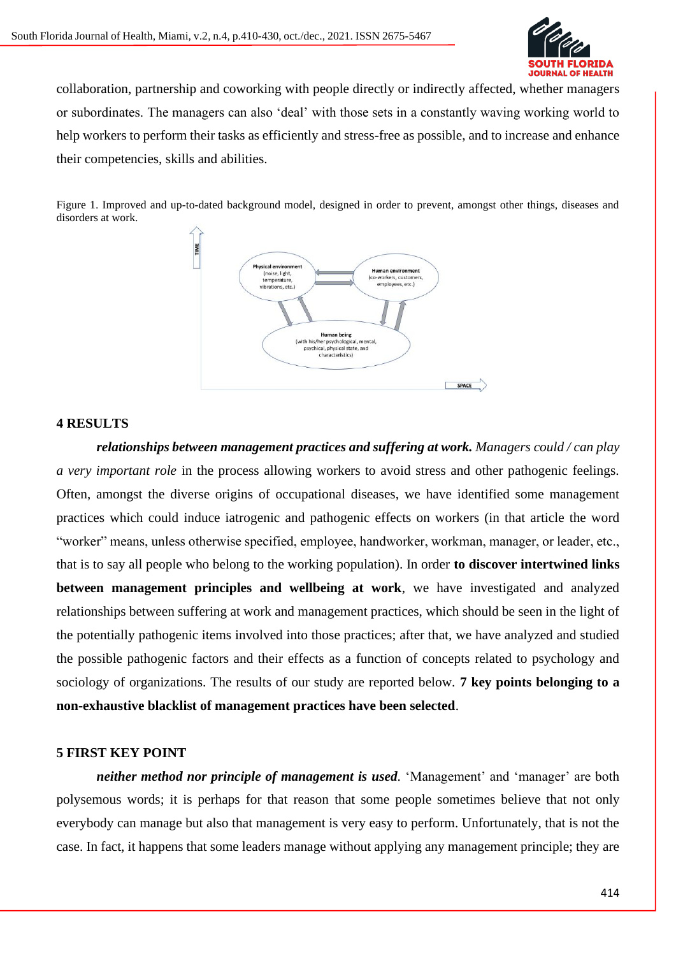

collaboration, partnership and coworking with people directly or indirectly affected, whether managers or subordinates. The managers can also 'deal' with those sets in a constantly waving working world to help workers to perform their tasks as efficiently and stress-free as possible, and to increase and enhance their competencies, skills and abilities.

Figure 1. Improved and up-to-dated background model, designed in order to prevent, amongst other things, diseases and disorders at work.



#### **4 RESULTS**

*relationships between management practices and suffering at work. Managers could / can play a very important role* in the process allowing workers to avoid stress and other pathogenic feelings. Often, amongst the diverse origins of occupational diseases, we have identified some management practices which could induce iatrogenic and pathogenic effects on workers (in that article the word "worker" means, unless otherwise specified, employee, handworker, workman, manager, or leader, etc., that is to say all people who belong to the working population). In order **to discover intertwined links between management principles and wellbeing at work**, we have investigated and analyzed relationships between suffering at work and management practices, which should be seen in the light of the potentially pathogenic items involved into those practices; after that, we have analyzed and studied the possible pathogenic factors and their effects as a function of concepts related to psychology and sociology of organizations. The results of our study are reported below. **7 key points belonging to a non-exhaustive blacklist of management practices have been selected**.

#### **5 FIRST KEY POINT**

*neither method nor principle of management is used.* 'Management' and 'manager' are both polysemous words; it is perhaps for that reason that some people sometimes believe that not only everybody can manage but also that management is very easy to perform. Unfortunately, that is not the case. In fact, it happens that some leaders manage without applying any management principle; they are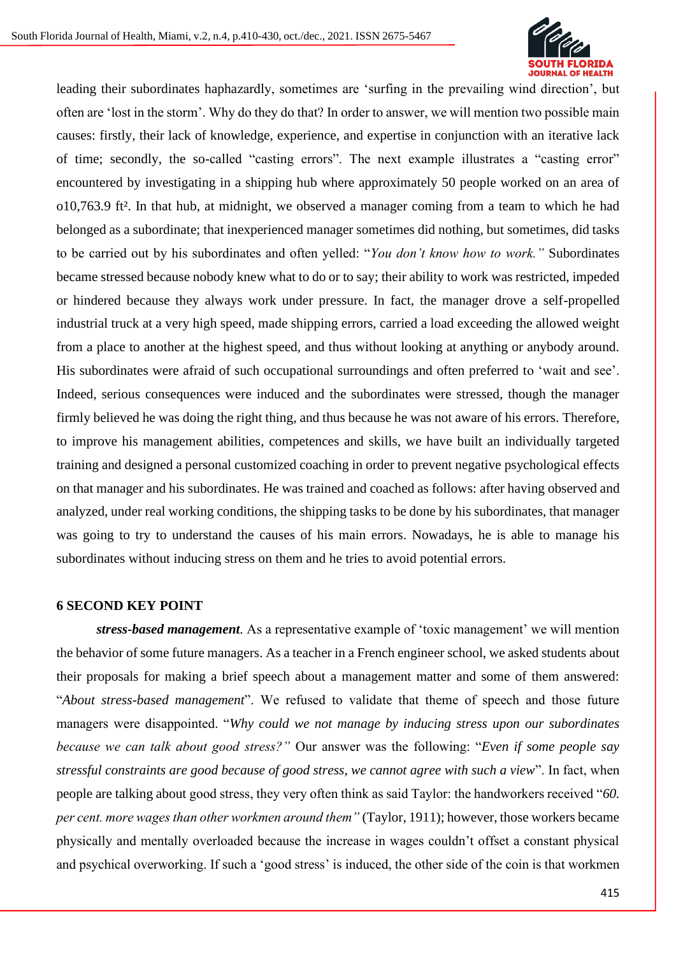

leading their subordinates haphazardly, sometimes are 'surfing in the prevailing wind direction', but often are 'lost in the storm'. Why do they do that? In order to answer, we will mention two possible main causes: firstly, their lack of knowledge, experience, and expertise in conjunction with an iterative lack of time; secondly, the so-called "casting errors". The next example illustrates a "casting error" encountered by investigating in a shipping hub where approximately 50 people worked on an area of o10,763.9 ft². In that hub, at midnight, we observed a manager coming from a team to which he had belonged as a subordinate; that inexperienced manager sometimes did nothing, but sometimes, did tasks to be carried out by his subordinates and often yelled: "*You don't know how to work."* Subordinates became stressed because nobody knew what to do or to say; their ability to work was restricted, impeded or hindered because they always work under pressure. In fact, the manager drove a self-propelled industrial truck at a very high speed, made shipping errors, carried a load exceeding the allowed weight from a place to another at the highest speed, and thus without looking at anything or anybody around. His subordinates were afraid of such occupational surroundings and often preferred to 'wait and see'. Indeed, serious consequences were induced and the subordinates were stressed, though the manager firmly believed he was doing the right thing, and thus because he was not aware of his errors. Therefore, to improve his management abilities, competences and skills, we have built an individually targeted training and designed a personal customized coaching in order to prevent negative psychological effects on that manager and his subordinates. He was trained and coached as follows: after having observed and analyzed, under real working conditions, the shipping tasks to be done by his subordinates, that manager was going to try to understand the causes of his main errors. Nowadays, he is able to manage his subordinates without inducing stress on them and he tries to avoid potential errors.

#### **6 SECOND KEY POINT**

*stress-based management.* As a representative example of 'toxic management' we will mention the behavior of some future managers. As a teacher in a French engineer school, we asked students about their proposals for making a brief speech about a management matter and some of them answered: "*About stress-based management*". We refused to validate that theme of speech and those future managers were disappointed. "*Why could we not manage by inducing stress upon our subordinates because we can talk about good stress?"* Our answer was the following: "*Even if some people say stressful constraints are good because of good stress, we cannot agree with such a view*". In fact, when people are talking about good stress, they very often think as said Taylor: the handworkers received "*60. per cent. more wages than other workmen around them"* (Taylor, 1911); however, those workers became physically and mentally overloaded because the increase in wages couldn't offset a constant physical and psychical overworking. If such a 'good stress' is induced, the other side of the coin is that workmen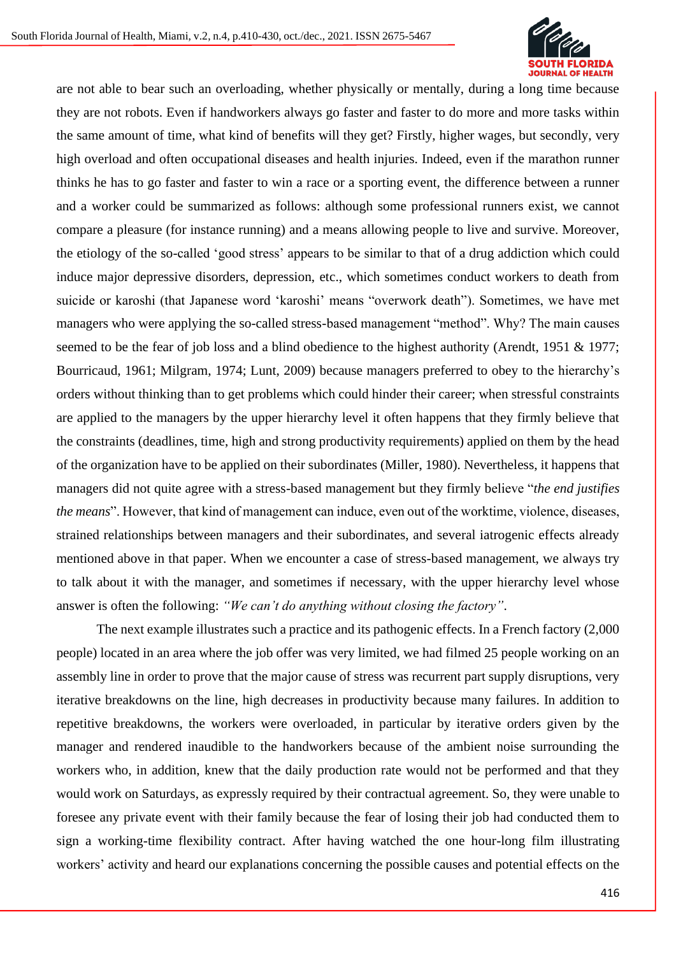

are not able to bear such an overloading, whether physically or mentally, during a long time because they are not robots. Even if handworkers always go faster and faster to do more and more tasks within the same amount of time, what kind of benefits will they get? Firstly, higher wages, but secondly, very high overload and often occupational diseases and health injuries. Indeed, even if the marathon runner thinks he has to go faster and faster to win a race or a sporting event, the difference between a runner and a worker could be summarized as follows: although some professional runners exist, we cannot compare a pleasure (for instance running) and a means allowing people to live and survive. Moreover, the etiology of the so-called 'good stress' appears to be similar to that of a drug addiction which could induce major depressive disorders, depression, etc., which sometimes conduct workers to death from suicide or karoshi (that Japanese word 'karoshi' means "overwork death"). Sometimes, we have met managers who were applying the so-called stress-based management "method". Why? The main causes seemed to be the fear of job loss and a blind obedience to the highest authority (Arendt, 1951 & 1977; Bourricaud, 1961; Milgram, 1974; Lunt, 2009) because managers preferred to obey to the hierarchy's orders without thinking than to get problems which could hinder their career; when stressful constraints are applied to the managers by the upper hierarchy level it often happens that they firmly believe that the constraints (deadlines, time, high and strong productivity requirements) applied on them by the head of the organization have to be applied on their subordinates (Miller, 1980). Nevertheless, it happens that managers did not quite agree with a stress-based management but they firmly believe "*the end justifies the means*". However, that kind of management can induce, even out of the worktime, violence, diseases, strained relationships between managers and their subordinates, and several iatrogenic effects already mentioned above in that paper. When we encounter a case of stress-based management, we always try to talk about it with the manager, and sometimes if necessary, with the upper hierarchy level whose answer is often the following: *"We can't do anything without closing the factory"*.

The next example illustrates such a practice and its pathogenic effects. In a French factory (2,000 people) located in an area where the job offer was very limited, we had filmed 25 people working on an assembly line in order to prove that the major cause of stress was recurrent part supply disruptions, very iterative breakdowns on the line, high decreases in productivity because many failures. In addition to repetitive breakdowns, the workers were overloaded, in particular by iterative orders given by the manager and rendered inaudible to the handworkers because of the ambient noise surrounding the workers who, in addition, knew that the daily production rate would not be performed and that they would work on Saturdays, as expressly required by their contractual agreement. So, they were unable to foresee any private event with their family because the fear of losing their job had conducted them to sign a working-time flexibility contract. After having watched the one hour-long film illustrating workers' activity and heard our explanations concerning the possible causes and potential effects on the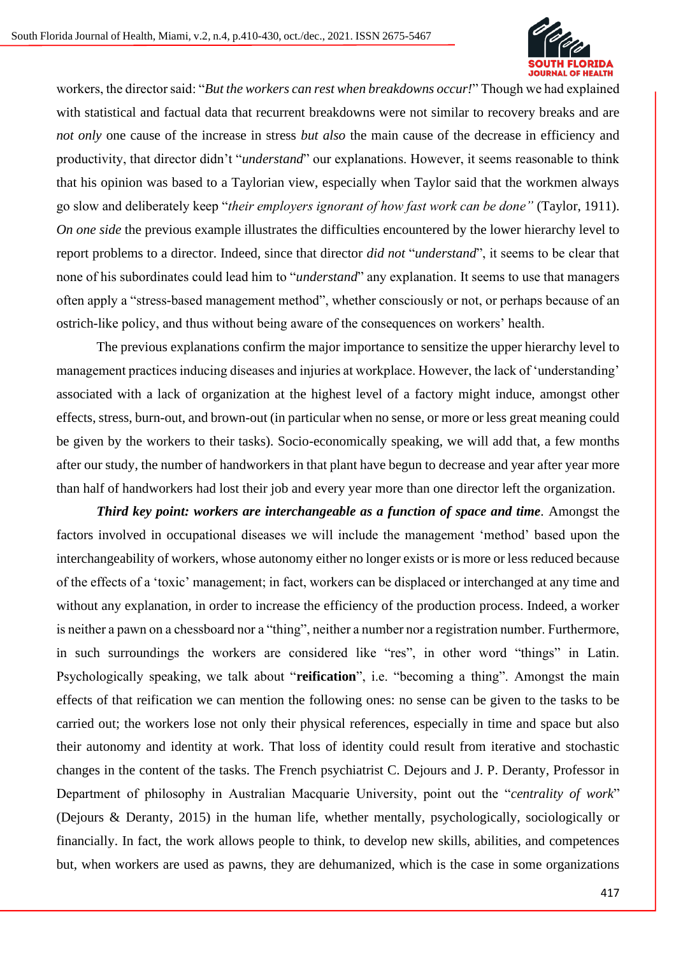

workers, the director said: "*But the workers can rest when breakdowns occur!*" Though we had explained with statistical and factual data that recurrent breakdowns were not similar to recovery breaks and are *not only* one cause of the increase in stress *but also* the main cause of the decrease in efficiency and productivity, that director didn't "*understand*" our explanations. However, it seems reasonable to think that his opinion was based to a Taylorian view, especially when Taylor said that the workmen always go slow and deliberately keep "*their employers ignorant of how fast work can be done"* (Taylor, 1911). *On one side* the previous example illustrates the difficulties encountered by the lower hierarchy level to report problems to a director. Indeed, since that director *did not* "*understand*", it seems to be clear that none of his subordinates could lead him to "*understand*" any explanation. It seems to use that managers often apply a "stress-based management method", whether consciously or not, or perhaps because of an ostrich-like policy, and thus without being aware of the consequences on workers' health.

The previous explanations confirm the major importance to sensitize the upper hierarchy level to management practices inducing diseases and injuries at workplace. However, the lack of 'understanding' associated with a lack of organization at the highest level of a factory might induce, amongst other effects, stress, burn-out, and brown-out (in particular when no sense, or more or less great meaning could be given by the workers to their tasks). Socio-economically speaking, we will add that, a few months after our study, the number of handworkers in that plant have begun to decrease and year after year more than half of handworkers had lost their job and every year more than one director left the organization.

*Third key point: workers are interchangeable as a function of space and time.* Amongst the factors involved in occupational diseases we will include the management 'method' based upon the interchangeability of workers, whose autonomy either no longer exists or is more or less reduced because of the effects of a 'toxic' management; in fact, workers can be displaced or interchanged at any time and without any explanation, in order to increase the efficiency of the production process. Indeed, a worker is neither a pawn on a chessboard nor a "thing", neither a number nor a registration number. Furthermore, in such surroundings the workers are considered like "res", in other word "things" in Latin. Psychologically speaking, we talk about "**reification**", i.e. "becoming a thing". Amongst the main effects of that reification we can mention the following ones: no sense can be given to the tasks to be carried out; the workers lose not only their physical references, especially in time and space but also their autonomy and identity at work. That loss of identity could result from iterative and stochastic changes in the content of the tasks. The French psychiatrist C. Dejours and J. P. Deranty, Professor in Department of philosophy in Australian Macquarie University, point out the "*centrality of work*" (Dejours & Deranty, 2015) in the human life, whether mentally, psychologically, sociologically or financially. In fact, the work allows people to think, to develop new skills, abilities, and competences but, when workers are used as pawns, they are dehumanized, which is the case in some organizations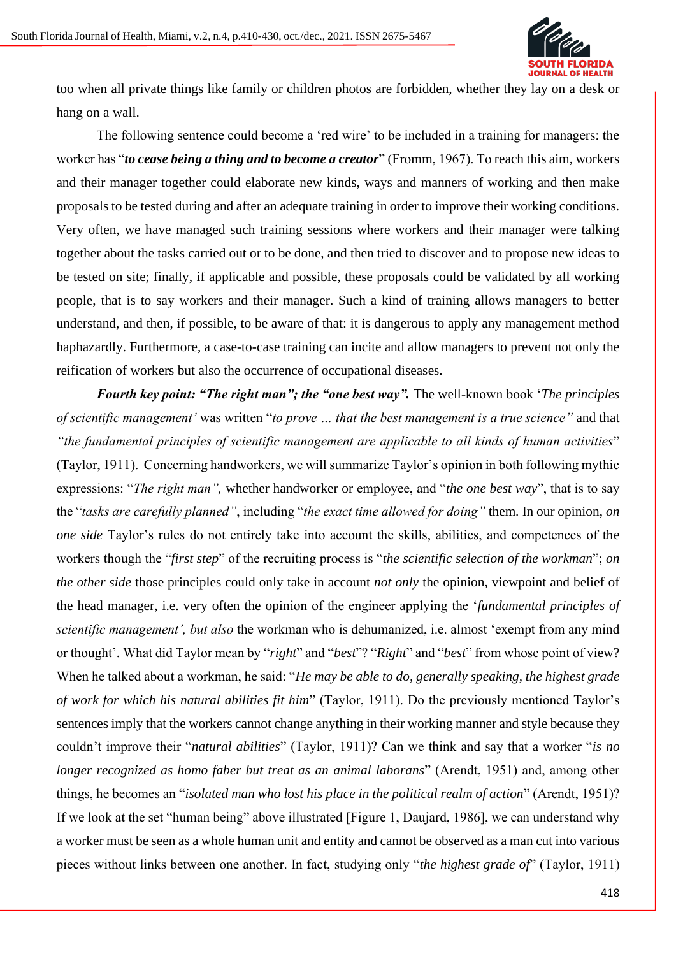

too when all private things like family or children photos are forbidden, whether they lay on a desk or hang on a wall.

The following sentence could become a 'red wire' to be included in a training for managers: the worker has "*to cease being a thing and to become a creator*" (Fromm, 1967). To reach this aim, workers and their manager together could elaborate new kinds, ways and manners of working and then make proposals to be tested during and after an adequate training in order to improve their working conditions. Very often, we have managed such training sessions where workers and their manager were talking together about the tasks carried out or to be done, and then tried to discover and to propose new ideas to be tested on site; finally, if applicable and possible, these proposals could be validated by all working people, that is to say workers and their manager. Such a kind of training allows managers to better understand, and then, if possible, to be aware of that: it is dangerous to apply any management method haphazardly. Furthermore, a case-to-case training can incite and allow managers to prevent not only the reification of workers but also the occurrence of occupational diseases.

*Fourth key point: "The right man"; the "one best way". The well-known book 'The principles of scientific management'* was written "*to prove … that the best management is a true science"* and that *"the fundamental principles of scientific management are applicable to all kinds of human activities*" (Taylor, 1911). Concerning handworkers, we will summarize Taylor's opinion in both following mythic expressions: "*The right man",* whether handworker or employee, and "*the one best way*", that is to say the "*tasks are carefully planned"*, including "*the exact time allowed for doing"* them*.* In our opinion, *on one side* Taylor's rules do not entirely take into account the skills, abilities, and competences of the workers though the "*first step*" of the recruiting process is "*the scientific selection of the workman*"; *on the other side* those principles could only take in account *not only* the opinion, viewpoint and belief of the head manager, i.e. very often the opinion of the engineer applying the '*fundamental principles of scientific management', but also* the workman who is dehumanized, i.e. almost 'exempt from any mind or thought'*.* What did Taylor mean by "*right*" and "*best*"? "*Right*" and "*best*" from whose point of view? When he talked about a workman, he said: "*He may be able to do, generally speaking, the highest grade of work for which his natural abilities fit him*" (Taylor, 1911). Do the previously mentioned Taylor's sentences imply that the workers cannot change anything in their working manner and style because they couldn't improve their "*natural abilities*" (Taylor, 1911)? Can we think and say that a worker "*is no longer recognized as homo faber but treat as an animal laborans*" (Arendt, 1951) and, among other things, he becomes an "*isolated man who lost his place in the political realm of action*" (Arendt, 1951)? If we look at the set "human being" above illustrated [Figure 1, Daujard, 1986], we can understand why a worker must be seen as a whole human unit and entity and cannot be observed as a man cut into various pieces without links between one another. In fact, studying only "*the highest grade of*" (Taylor, 1911)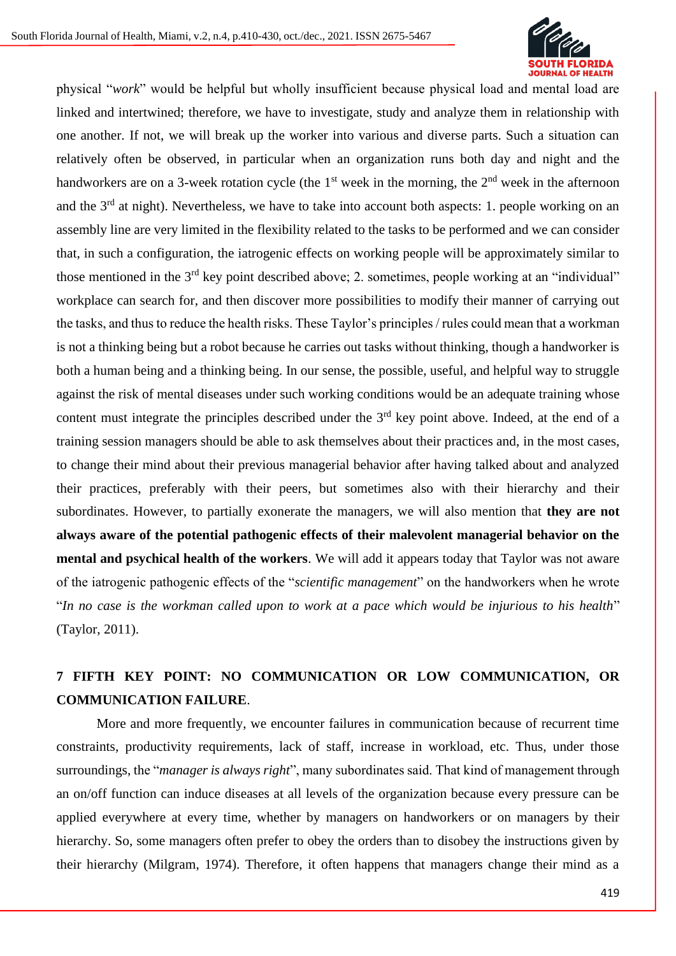

physical "*work*" would be helpful but wholly insufficient because physical load and mental load are linked and intertwined; therefore, we have to investigate, study and analyze them in relationship with one another. If not, we will break up the worker into various and diverse parts. Such a situation can relatively often be observed, in particular when an organization runs both day and night and the handworkers are on a 3-week rotation cycle (the  $1<sup>st</sup>$  week in the morning, the  $2<sup>nd</sup>$  week in the afternoon and the 3<sup>rd</sup> at night). Nevertheless, we have to take into account both aspects: 1. people working on an assembly line are very limited in the flexibility related to the tasks to be performed and we can consider that, in such a configuration, the iatrogenic effects on working people will be approximately similar to those mentioned in the 3<sup>rd</sup> key point described above; 2. sometimes, people working at an "individual" workplace can search for, and then discover more possibilities to modify their manner of carrying out the tasks, and thus to reduce the health risks. These Taylor's principles / rules could mean that a workman is not a thinking being but a robot because he carries out tasks without thinking, though a handworker is both a human being and a thinking being. In our sense, the possible, useful, and helpful way to struggle against the risk of mental diseases under such working conditions would be an adequate training whose content must integrate the principles described under the  $3<sup>rd</sup>$  key point above. Indeed, at the end of a training session managers should be able to ask themselves about their practices and, in the most cases, to change their mind about their previous managerial behavior after having talked about and analyzed their practices, preferably with their peers, but sometimes also with their hierarchy and their subordinates. However, to partially exonerate the managers, we will also mention that **they are not always aware of the potential pathogenic effects of their malevolent managerial behavior on the mental and psychical health of the workers**. We will add it appears today that Taylor was not aware of the iatrogenic pathogenic effects of the "*scientific management*" on the handworkers when he wrote "*In no case is the workman called upon to work at a pace which would be injurious to his health*" (Taylor, 2011).

# **7 FIFTH KEY POINT: NO COMMUNICATION OR LOW COMMUNICATION, OR COMMUNICATION FAILURE**.

More and more frequently, we encounter failures in communication because of recurrent time constraints, productivity requirements, lack of staff, increase in workload, etc. Thus, under those surroundings, the "*manager is always right*", many subordinates said. That kind of management through an on/off function can induce diseases at all levels of the organization because every pressure can be applied everywhere at every time, whether by managers on handworkers or on managers by their hierarchy. So, some managers often prefer to obey the orders than to disobey the instructions given by their hierarchy (Milgram, 1974). Therefore, it often happens that managers change their mind as a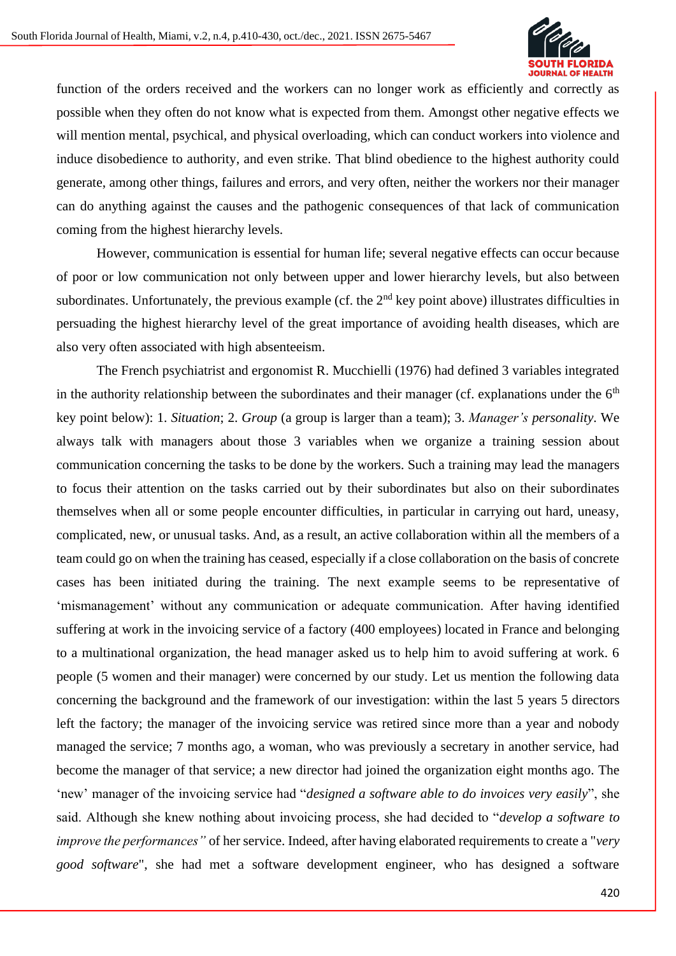

function of the orders received and the workers can no longer work as efficiently and correctly as possible when they often do not know what is expected from them. Amongst other negative effects we will mention mental, psychical, and physical overloading, which can conduct workers into violence and induce disobedience to authority, and even strike. That blind obedience to the highest authority could generate, among other things, failures and errors, and very often, neither the workers nor their manager can do anything against the causes and the pathogenic consequences of that lack of communication coming from the highest hierarchy levels.

However, communication is essential for human life; several negative effects can occur because of poor or low communication not only between upper and lower hierarchy levels, but also between subordinates. Unfortunately, the previous example (cf. the  $2<sup>nd</sup>$  key point above) illustrates difficulties in persuading the highest hierarchy level of the great importance of avoiding health diseases, which are also very often associated with high absenteeism.

The French psychiatrist and ergonomist R. Mucchielli (1976) had defined 3 variables integrated in the authority relationship between the subordinates and their manager (cf. explanations under the  $6<sup>th</sup>$ key point below): 1. *Situation*; 2. *Group* (a group is larger than a team); 3. *Manager's personality*. We always talk with managers about those 3 variables when we organize a training session about communication concerning the tasks to be done by the workers. Such a training may lead the managers to focus their attention on the tasks carried out by their subordinates but also on their subordinates themselves when all or some people encounter difficulties, in particular in carrying out hard, uneasy, complicated, new, or unusual tasks. And, as a result, an active collaboration within all the members of a team could go on when the training has ceased, especially if a close collaboration on the basis of concrete cases has been initiated during the training. The next example seems to be representative of 'mismanagement' without any communication or adequate communication. After having identified suffering at work in the invoicing service of a factory (400 employees) located in France and belonging to a multinational organization, the head manager asked us to help him to avoid suffering at work. 6 people (5 women and their manager) were concerned by our study. Let us mention the following data concerning the background and the framework of our investigation: within the last 5 years 5 directors left the factory; the manager of the invoicing service was retired since more than a year and nobody managed the service; 7 months ago, a woman, who was previously a secretary in another service, had become the manager of that service; a new director had joined the organization eight months ago. The 'new' manager of the invoicing service had "*designed a software able to do invoices very easily*", she said. Although she knew nothing about invoicing process, she had decided to "*develop a software to improve the performances"* of her service. Indeed, after having elaborated requirements to create a "*very good software*", she had met a software development engineer, who has designed a software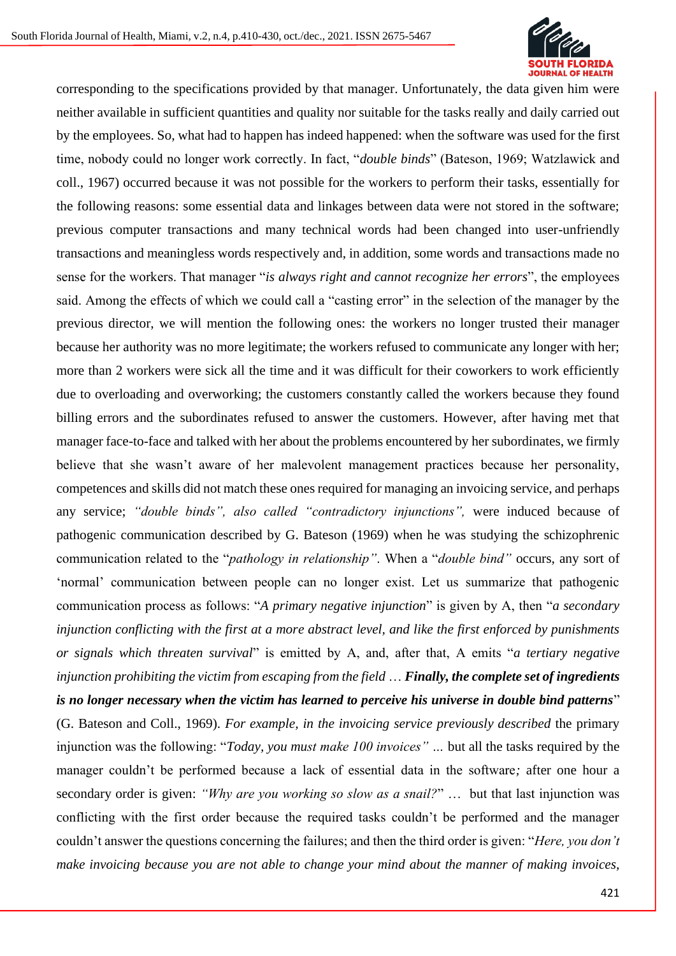

corresponding to the specifications provided by that manager. Unfortunately, the data given him were neither available in sufficient quantities and quality nor suitable for the tasks really and daily carried out by the employees. So, what had to happen has indeed happened: when the software was used for the first time, nobody could no longer work correctly. In fact, "*double binds*" (Bateson, 1969; Watzlawick and coll., 1967) occurred because it was not possible for the workers to perform their tasks, essentially for the following reasons: some essential data and linkages between data were not stored in the software; previous computer transactions and many technical words had been changed into user-unfriendly transactions and meaningless words respectively and, in addition, some words and transactions made no sense for the workers. That manager "*is always right and cannot recognize her errors*", the employees said. Among the effects of which we could call a "casting error" in the selection of the manager by the previous director, we will mention the following ones: the workers no longer trusted their manager because her authority was no more legitimate; the workers refused to communicate any longer with her; more than 2 workers were sick all the time and it was difficult for their coworkers to work efficiently due to overloading and overworking; the customers constantly called the workers because they found billing errors and the subordinates refused to answer the customers. However, after having met that manager face-to-face and talked with her about the problems encountered by her subordinates, we firmly believe that she wasn't aware of her malevolent management practices because her personality, competences and skills did not match these ones required for managing an invoicing service, and perhaps any service; *"double binds", also called "contradictory injunctions",* were induced because of pathogenic communication described by G. Bateson (1969) when he was studying the schizophrenic communication related to the "*pathology in relationship"*. When a "*double bind"* occurs, any sort of 'normal' communication between people can no longer exist. Let us summarize that pathogenic communication process as follows: "*A primary negative injunction*" is given by A, then "*a secondary injunction conflicting with the first at a more abstract level, and like the first enforced by punishments or signals which threaten survival*" is emitted by A, and, after that, A emits "*a tertiary negative injunction prohibiting the victim from escaping from the field* … *Finally, the complete set of ingredients is no longer necessary when the victim has learned to perceive his universe in double bind patterns*" (G. Bateson and Coll., 1969). *For example, in the invoicing service previously described* the primary injunction was the following: "*Today, you must make 100 invoices" …* but all the tasks required by the manager couldn't be performed because a lack of essential data in the software*;* after one hour a secondary order is given: *"Why are you working so slow as a snail?*" … but that last injunction was conflicting with the first order because the required tasks couldn't be performed and the manager couldn't answer the questions concerning the failures; and then the third order is given: "*Here, you don't make invoicing because you are not able to change your mind about the manner of making invoices,*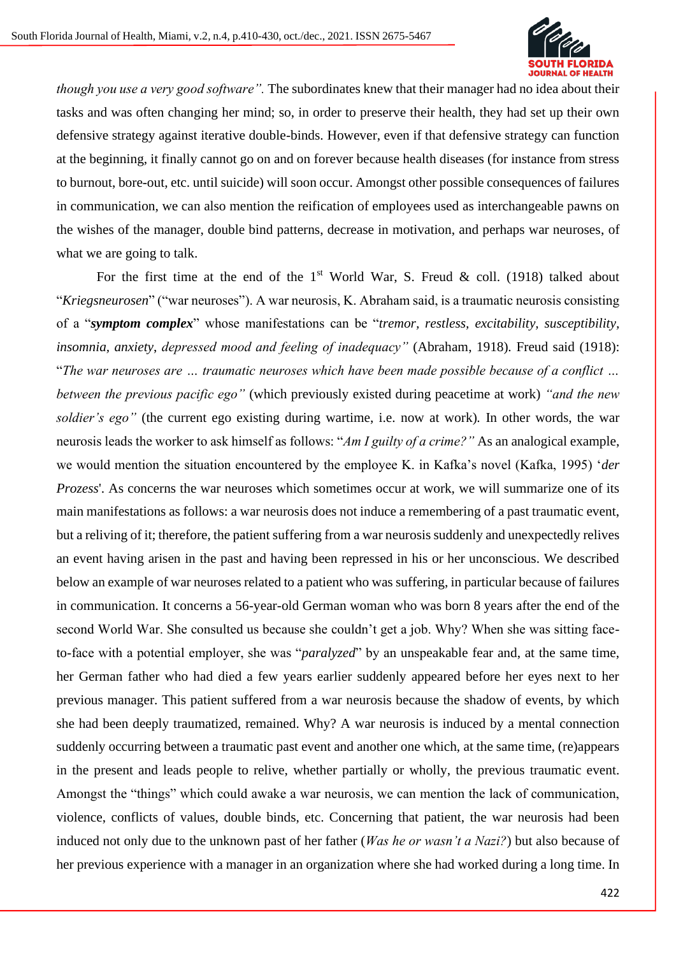

*though you use a very good software".* The subordinates knew that their manager had no idea about their tasks and was often changing her mind; so, in order to preserve their health, they had set up their own defensive strategy against iterative double-binds. However, even if that defensive strategy can function at the beginning, it finally cannot go on and on forever because health diseases (for instance from stress to burnout, bore-out, etc. until suicide) will soon occur. Amongst other possible consequences of failures in communication, we can also mention the reification of employees used as interchangeable pawns on the wishes of the manager, double bind patterns, decrease in motivation, and perhaps war neuroses, of what we are going to talk.

For the first time at the end of the  $1<sup>st</sup>$  World War, S. Freud & coll. (1918) talked about "*Kriegsneurosen*" ("war neuroses"). A war neurosis, K. Abraham said, is a traumatic neurosis consisting of a "*symptom complex*" whose manifestations can be "*tremor, restless, excitability, susceptibility, insomnia, anxiety*, *depressed mood and feeling of inadequacy"* (Abraham, 1918)*.* Freud said (1918): "*The war neuroses are … traumatic neuroses which have been made possible because of a conflict … between the previous pacific ego"* (which previously existed during peacetime at work) *"and the new soldier's ego"* (the current ego existing during wartime, i.e. now at work)*.* In other words, the war neurosis leads the worker to ask himself as follows: "*Am I guilty of a crime?"* As an analogical example, we would mention the situation encountered by the employee K. in Kafka's novel (Kafka, 1995) '*der Prozess*'. As concerns the war neuroses which sometimes occur at work, we will summarize one of its main manifestations as follows: a war neurosis does not induce a remembering of a past traumatic event, but a reliving of it; therefore, the patient suffering from a war neurosis suddenly and unexpectedly relives an event having arisen in the past and having been repressed in his or her unconscious. We described below an example of war neuroses related to a patient who was suffering, in particular because of failures in communication. It concerns a 56-year-old German woman who was born 8 years after the end of the second World War. She consulted us because she couldn't get a job. Why? When she was sitting faceto-face with a potential employer, she was "*paralyzed*" by an unspeakable fear and, at the same time, her German father who had died a few years earlier suddenly appeared before her eyes next to her previous manager. This patient suffered from a war neurosis because the shadow of events, by which she had been deeply traumatized, remained. Why? A war neurosis is induced by a mental connection suddenly occurring between a traumatic past event and another one which, at the same time, (re)appears in the present and leads people to relive, whether partially or wholly, the previous traumatic event. Amongst the "things" which could awake a war neurosis, we can mention the lack of communication, violence, conflicts of values, double binds, etc. Concerning that patient, the war neurosis had been induced not only due to the unknown past of her father (*Was he or wasn't a Nazi?*) but also because of her previous experience with a manager in an organization where she had worked during a long time. In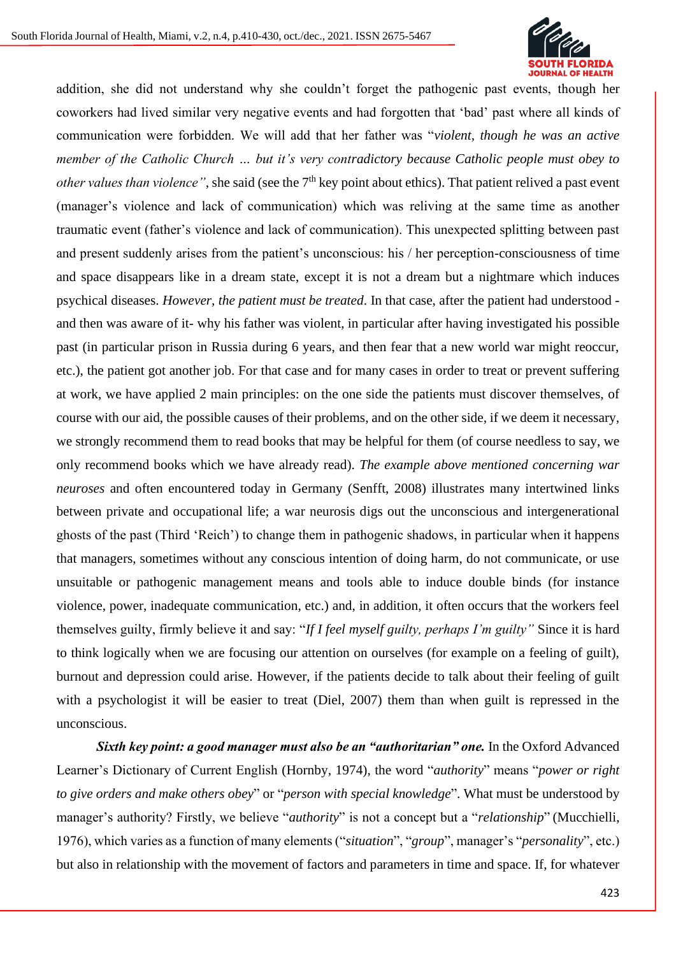

addition, she did not understand why she couldn't forget the pathogenic past events, though her coworkers had lived similar very negative events and had forgotten that 'bad' past where all kinds of communication were forbidden. We will add that her father was "*violent, though he was an active member of the Catholic Church … but it's very contradictory because Catholic people must obey to other values than violence*", she said (see the 7<sup>th</sup> key point about ethics). That patient relived a past event (manager's violence and lack of communication) which was reliving at the same time as another traumatic event (father's violence and lack of communication). This unexpected splitting between past and present suddenly arises from the patient's unconscious: his / her perception-consciousness of time and space disappears like in a dream state, except it is not a dream but a nightmare which induces psychical diseases. *However, the patient must be treated*. In that case, after the patient had understood and then was aware of it- why his father was violent, in particular after having investigated his possible past (in particular prison in Russia during 6 years, and then fear that a new world war might reoccur, etc.), the patient got another job. For that case and for many cases in order to treat or prevent suffering at work, we have applied 2 main principles: on the one side the patients must discover themselves, of course with our aid, the possible causes of their problems, and on the other side, if we deem it necessary, we strongly recommend them to read books that may be helpful for them (of course needless to say, we only recommend books which we have already read). *The example above mentioned concerning war neuroses* and often encountered today in Germany (Senfft, 2008) illustrates many intertwined links between private and occupational life; a war neurosis digs out the unconscious and intergenerational ghosts of the past (Third 'Reich') to change them in pathogenic shadows, in particular when it happens that managers, sometimes without any conscious intention of doing harm, do not communicate, or use unsuitable or pathogenic management means and tools able to induce double binds (for instance violence, power, inadequate communication, etc.) and, in addition, it often occurs that the workers feel themselves guilty, firmly believe it and say: "*If I feel myself guilty, perhaps I'm guilty"* Since it is hard to think logically when we are focusing our attention on ourselves (for example on a feeling of guilt), burnout and depression could arise. However, if the patients decide to talk about their feeling of guilt with a psychologist it will be easier to treat (Diel, 2007) them than when guilt is repressed in the unconscious.

**Sixth key point: a good manager must also be an "authoritarian" one.** In the Oxford Advanced Learner's Dictionary of Current English (Hornby, 1974), the word "*authority*" means "*power or right to give orders and make others obey*" or "*person with special knowledge*". What must be understood by manager's authority? Firstly, we believe "*authority*" is not a concept but a "*relationship*" (Mucchielli, 1976), which varies as a function of many elements ("*situation*", "*group*", manager's "*personality*", etc.) but also in relationship with the movement of factors and parameters in time and space. If, for whatever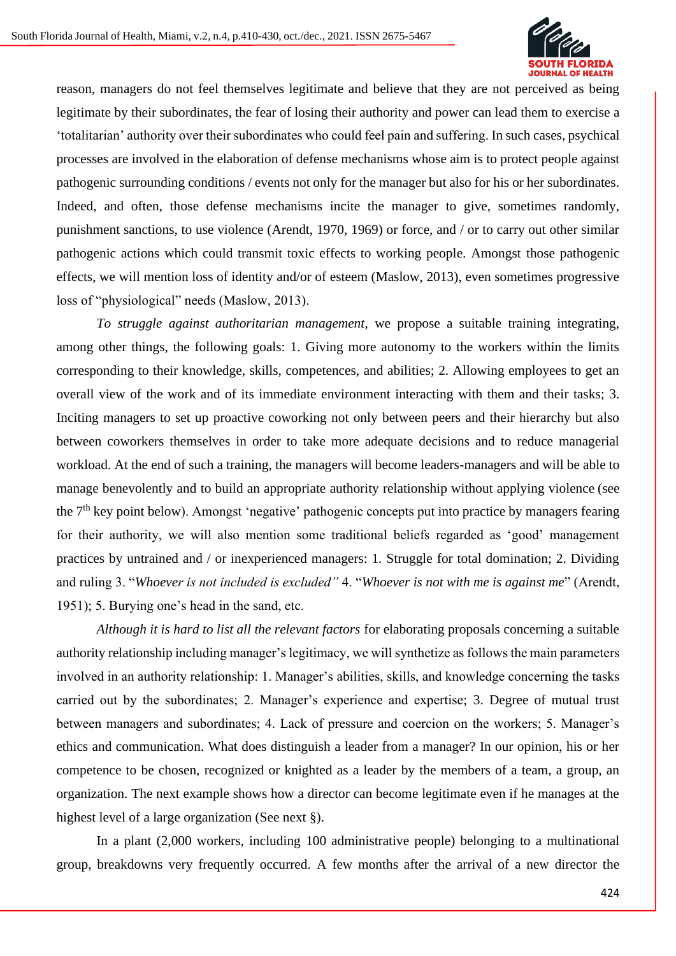

reason, managers do not feel themselves legitimate and believe that they are not perceived as being legitimate by their subordinates, the fear of losing their authority and power can lead them to exercise a 'totalitarian' authority over their subordinates who could feel pain and suffering. In such cases, psychical processes are involved in the elaboration of defense mechanisms whose aim is to protect people against pathogenic surrounding conditions / events not only for the manager but also for his or her subordinates. Indeed, and often, those defense mechanisms incite the manager to give, sometimes randomly, punishment sanctions, to use violence (Arendt, 1970, 1969) or force, and / or to carry out other similar pathogenic actions which could transmit toxic effects to working people. Amongst those pathogenic effects, we will mention loss of identity and/or of esteem (Maslow, 2013), even sometimes progressive loss of "physiological" needs (Maslow, 2013).

*To struggle against authoritarian management*, we propose a suitable training integrating, among other things, the following goals: 1. Giving more autonomy to the workers within the limits corresponding to their knowledge, skills, competences, and abilities; 2. Allowing employees to get an overall view of the work and of its immediate environment interacting with them and their tasks; 3. Inciting managers to set up proactive coworking not only between peers and their hierarchy but also between coworkers themselves in order to take more adequate decisions and to reduce managerial workload. At the end of such a training, the managers will become leaders-managers and will be able to manage benevolently and to build an appropriate authority relationship without applying violence (see the 7<sup>th</sup> key point below). Amongst 'negative' pathogenic concepts put into practice by managers fearing for their authority, we will also mention some traditional beliefs regarded as 'good' management practices by untrained and / or inexperienced managers: 1. Struggle for total domination; 2. Dividing and ruling 3. "*Whoever is not included is excluded"* 4. "*Whoever is not with me is against me*" (Arendt, 1951); 5. Burying one's head in the sand, etc.

*Although it is hard to list all the relevant factors* for elaborating proposals concerning a suitable authority relationship including manager's legitimacy, we will synthetize as follows the main parameters involved in an authority relationship: 1. Manager's abilities, skills, and knowledge concerning the tasks carried out by the subordinates; 2. Manager's experience and expertise; 3. Degree of mutual trust between managers and subordinates; 4. Lack of pressure and coercion on the workers; 5. Manager's ethics and communication. What does distinguish a leader from a manager? In our opinion, his or her competence to be chosen, recognized or knighted as a leader by the members of a team, a group, an organization. The next example shows how a director can become legitimate even if he manages at the highest level of a large organization (See next §).

In a plant (2,000 workers, including 100 administrative people) belonging to a multinational group, breakdowns very frequently occurred. A few months after the arrival of a new director the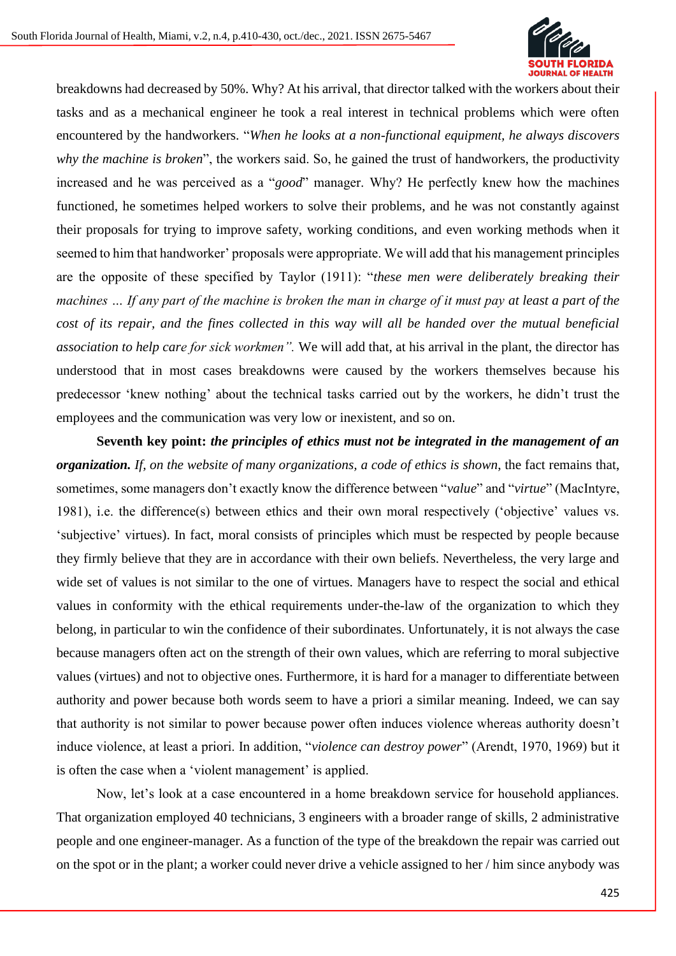

breakdowns had decreased by 50%. Why? At his arrival, that director talked with the workers about their tasks and as a mechanical engineer he took a real interest in technical problems which were often encountered by the handworkers. "*When he looks at a non-functional equipment, he always discovers why the machine is broken*", the workers said. So, he gained the trust of handworkers, the productivity increased and he was perceived as a "*good*" manager. Why? He perfectly knew how the machines functioned, he sometimes helped workers to solve their problems, and he was not constantly against their proposals for trying to improve safety, working conditions, and even working methods when it seemed to him that handworker' proposals were appropriate. We will add that his management principles are the opposite of these specified by Taylor (1911): "*these men were deliberately breaking their machines … If any part of the machine is broken the man in charge of it must pay at least a part of the cost of its repair, and the fines collected in this way will all be handed over the mutual beneficial association to help care for sick workmen".* We will add that, at his arrival in the plant, the director has understood that in most cases breakdowns were caused by the workers themselves because his predecessor 'knew nothing' about the technical tasks carried out by the workers, he didn't trust the employees and the communication was very low or inexistent, and so on.

**Seventh key point:** *the principles of ethics must not be integrated in the management of an organization. If, on the website of many organizations, a code of ethics is shown*, the fact remains that, sometimes, some managers don't exactly know the difference between "*value*" and "*virtue*" (MacIntyre, 1981), i.e. the difference(s) between ethics and their own moral respectively ('objective' values vs. 'subjective' virtues). In fact, moral consists of principles which must be respected by people because they firmly believe that they are in accordance with their own beliefs. Nevertheless, the very large and wide set of values is not similar to the one of virtues. Managers have to respect the social and ethical values in conformity with the ethical requirements under-the-law of the organization to which they belong, in particular to win the confidence of their subordinates. Unfortunately, it is not always the case because managers often act on the strength of their own values, which are referring to moral subjective values (virtues) and not to objective ones. Furthermore, it is hard for a manager to differentiate between authority and power because both words seem to have a priori a similar meaning. Indeed, we can say that authority is not similar to power because power often induces violence whereas authority doesn't induce violence, at least a priori. In addition, "*violence can destroy power*" (Arendt, 1970, 1969) but it is often the case when a 'violent management' is applied.

Now, let's look at a case encountered in a home breakdown service for household appliances. That organization employed 40 technicians, 3 engineers with a broader range of skills, 2 administrative people and one engineer-manager. As a function of the type of the breakdown the repair was carried out on the spot or in the plant; a worker could never drive a vehicle assigned to her / him since anybody was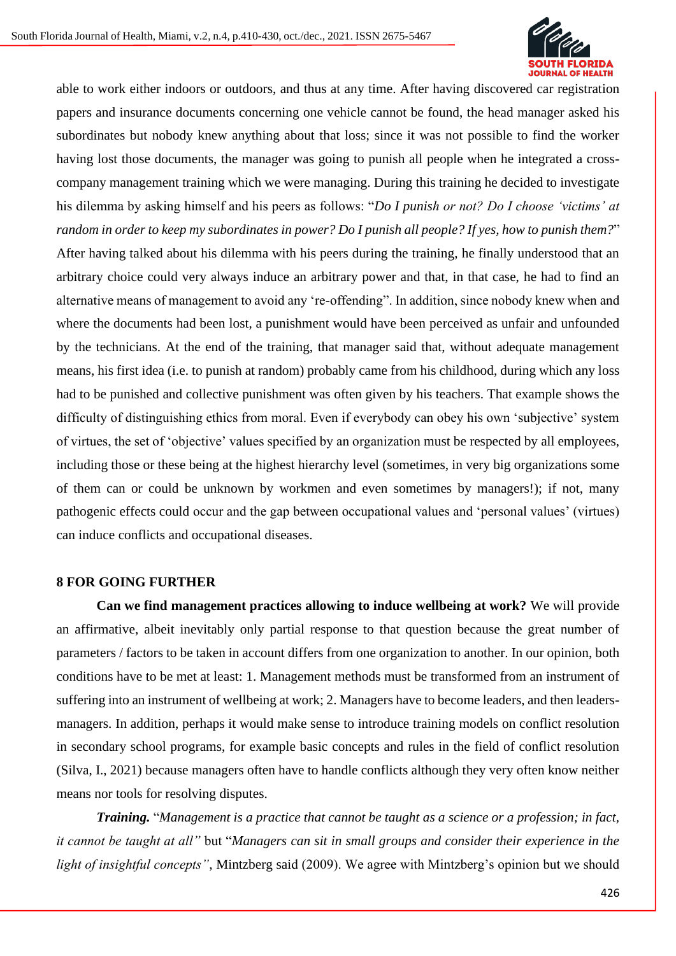

able to work either indoors or outdoors, and thus at any time. After having discovered car registration papers and insurance documents concerning one vehicle cannot be found, the head manager asked his subordinates but nobody knew anything about that loss; since it was not possible to find the worker having lost those documents, the manager was going to punish all people when he integrated a crosscompany management training which we were managing. During this training he decided to investigate his dilemma by asking himself and his peers as follows: "*Do I punish or not? Do I choose 'victims' at random in order to keep my subordinates in power? Do I punish all people? If yes, how to punish them?*" After having talked about his dilemma with his peers during the training, he finally understood that an arbitrary choice could very always induce an arbitrary power and that, in that case, he had to find an alternative means of management to avoid any 're-offending". In addition, since nobody knew when and where the documents had been lost, a punishment would have been perceived as unfair and unfounded by the technicians. At the end of the training, that manager said that, without adequate management means, his first idea (i.e. to punish at random) probably came from his childhood, during which any loss had to be punished and collective punishment was often given by his teachers. That example shows the difficulty of distinguishing ethics from moral. Even if everybody can obey his own 'subjective' system of virtues, the set of 'objective' values specified by an organization must be respected by all employees, including those or these being at the highest hierarchy level (sometimes, in very big organizations some of them can or could be unknown by workmen and even sometimes by managers!); if not, many pathogenic effects could occur and the gap between occupational values and 'personal values' (virtues) can induce conflicts and occupational diseases.

# **8 FOR GOING FURTHER**

**Can we find management practices allowing to induce wellbeing at work?** We will provide an affirmative, albeit inevitably only partial response to that question because the great number of parameters / factors to be taken in account differs from one organization to another. In our opinion, both conditions have to be met at least: 1. Management methods must be transformed from an instrument of suffering into an instrument of wellbeing at work; 2. Managers have to become leaders, and then leadersmanagers. In addition, perhaps it would make sense to introduce training models on conflict resolution in secondary school programs, for example basic concepts and rules in the field of conflict resolution (Silva, I., 2021) because managers often have to handle conflicts although they very often know neither means nor tools for resolving disputes.

*Training.* "*Management is a practice that cannot be taught as a science or a profession; in fact, it cannot be taught at all"* but "*Managers can sit in small groups and consider their experience in the light of insightful concepts"*, Mintzberg said (2009). We agree with Mintzberg's opinion but we should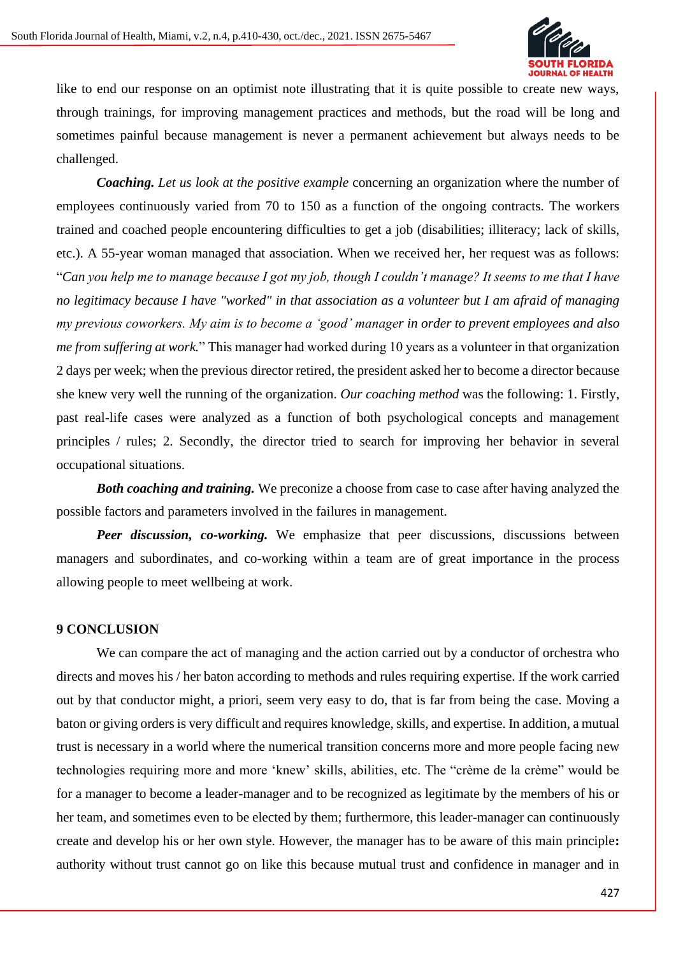

like to end our response on an optimist note illustrating that it is quite possible to create new ways, through trainings, for improving management practices and methods, but the road will be long and sometimes painful because management is never a permanent achievement but always needs to be challenged.

*Coaching. Let us look at the positive example* concerning an organization where the number of employees continuously varied from 70 to 150 as a function of the ongoing contracts. The workers trained and coached people encountering difficulties to get a job (disabilities; illiteracy; lack of skills, etc.). A 55-year woman managed that association. When we received her, her request was as follows: "*Can you help me to manage because I got my job, though I couldn't manage? It seems to me that I have no legitimacy because I have "worked" in that association as a volunteer but I am afraid of managing my previous coworkers. My aim is to become a 'good' manager in order to prevent employees and also me from suffering at work.*" This manager had worked during 10 years as a volunteer in that organization 2 days per week; when the previous director retired, the president asked her to become a director because she knew very well the running of the organization. *Our coaching method* was the following: 1. Firstly, past real-life cases were analyzed as a function of both psychological concepts and management principles / rules; 2. Secondly, the director tried to search for improving her behavior in several occupational situations.

*Both coaching and training.* We preconize a choose from case to case after having analyzed the possible factors and parameters involved in the failures in management.

*Peer discussion, co-working.* We emphasize that peer discussions, discussions between managers and subordinates, and co-working within a team are of great importance in the process allowing people to meet wellbeing at work.

# **9 CONCLUSION**

We can compare the act of managing and the action carried out by a conductor of orchestra who directs and moves his / her baton according to methods and rules requiring expertise. If the work carried out by that conductor might, a priori, seem very easy to do, that is far from being the case. Moving a baton or giving orders is very difficult and requires knowledge, skills, and expertise. In addition, a mutual trust is necessary in a world where the numerical transition concerns more and more people facing new technologies requiring more and more 'knew' skills, abilities, etc. The "crème de la crème" would be for a manager to become a leader-manager and to be recognized as legitimate by the members of his or her team, and sometimes even to be elected by them; furthermore, this leader-manager can continuously create and develop his or her own style. However, the manager has to be aware of this main principle**:**  authority without trust cannot go on like this because mutual trust and confidence in manager and in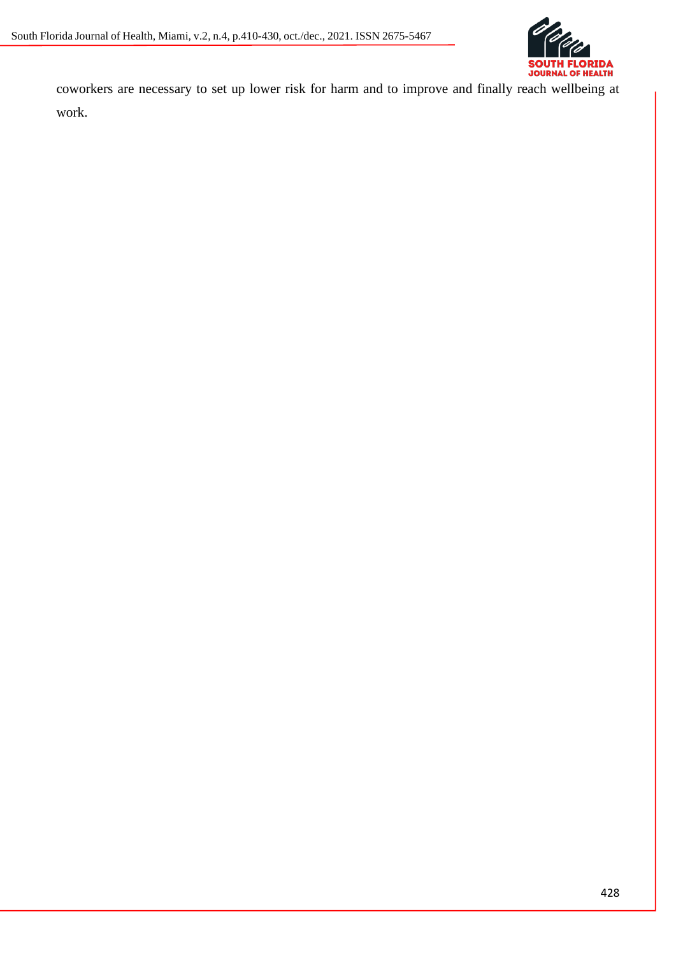

coworkers are necessary to set up lower risk for harm and to improve and finally reach wellbeing at work.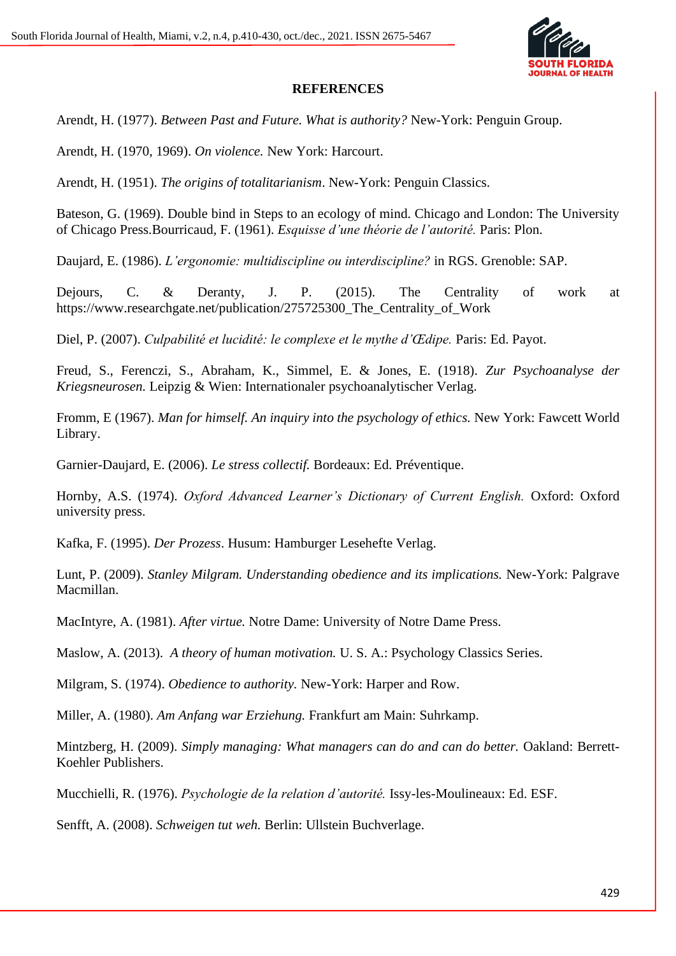

# **REFERENCES**

Arendt*,* H. (1977). *Between Past and Future. What is authority?* New-York: Penguin Group.

Arendt, H. (1970, 1969). *On violence.* New York: Harcourt.

Arendt, H. (1951). *The origins of totalitarianism*. New-York: Penguin Classics.

Bateson, G. (1969). Double bind in Steps to an ecology of mind. Chicago and London: The University of Chicago Press.Bourricaud*,* F. (1961). *Esquisse d'une théorie de l'autorité.* Paris: Plon.

Daujard, E. (1986). *L'ergonomie: multidiscipline ou interdiscipline?* in RGS. Grenoble: SAP.

Dejours, C. & Deranty, J. P. (2015). The Centrality of work at https://www.researchgate.net/publication/275725300\_The\_Centrality\_of\_Work

Diel, P. (2007). *Culpabilité et lucidité: le complexe et le mythe d'Œdipe.* Paris: Ed. Payot.

Freud, S., Ferenczi, S., Abraham, K., Simmel, E. & Jones, E. (1918). *Zur Psychoanalyse der Kriegsneurosen.* Leipzig & Wien: Internationaler psychoanalytischer Verlag.

Fromm, E (1967). *Man for himself. An inquiry into the psychology of ethics.* New York: Fawcett World Library.

Garnier-Daujard, E. (2006). *Le stress collectif.* Bordeaux: Ed. Préventique.

Hornby, A.S. (1974). *Oxford Advanced Learner's Dictionary of Current English.* Oxford: Oxford university press.

Kafka, F. (1995). *Der Prozess*. Husum: Hamburger Lesehefte Verlag.

Lunt, P. (2009). *Stanley Milgram. Understanding obedience and its implications.* New-York: Palgrave Macmillan.

MacIntyre, A. (1981). *After virtue.* Notre Dame: University of Notre Dame Press.

Maslow, A. (2013). *A theory of human motivation.* U. S. A.: Psychology Classics Series.

Milgram, S. (1974). *Obedience to authority.* New-York: Harper and Row.

Miller, A. (1980). *Am Anfang war Erziehung.* Frankfurt am Main: Suhrkamp.

Mintzberg, H. (2009). *Simply managing: What managers can do and can do better.* Oakland: Berrett-Koehler Publishers.

Mucchielli*,* R. (1976). *Psychologie de la relation d'autorité.* Issy-les-Moulineaux: Ed. ESF.

Senfft, A. (2008). *Schweigen tut weh.* Berlin: Ullstein Buchverlage.